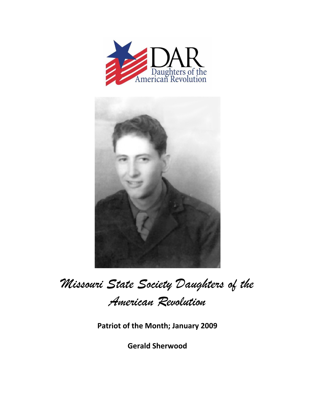



## *Missouri State Society Daughters of the American Revolution*

**Patriot of the Month; January 2009**

**Gerald Sherwood**